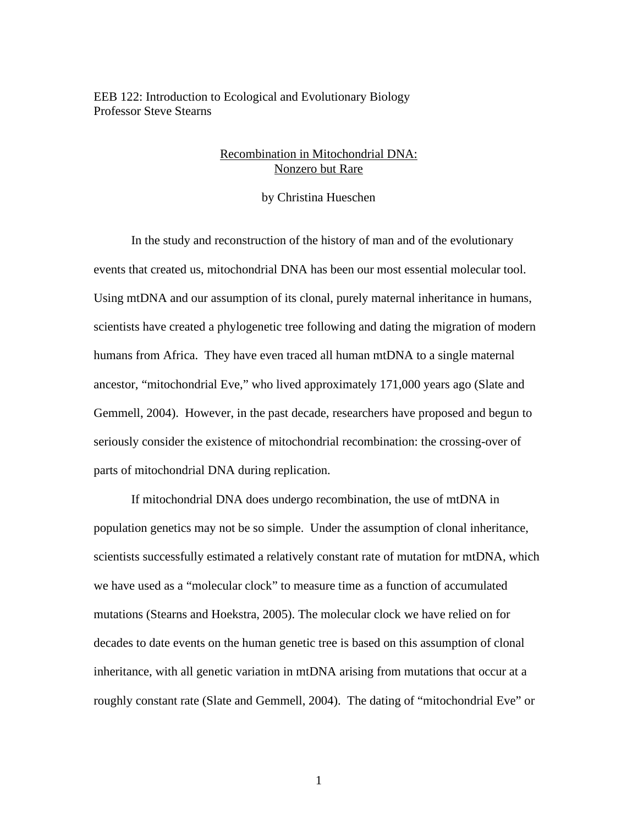EEB 122: Introduction to Ecological and Evolutionary Biology Professor Steve Stearns

## Recombination in Mitochondrial DNA: Nonzero but Rare

by Christina Hueschen

In the study and reconstruction of the history of man and of the evolutionary events that created us, mitochondrial DNA has been our most essential molecular tool. Using mtDNA and our assumption of its clonal, purely maternal inheritance in humans, scientists have created a phylogenetic tree following and dating the migration of modern humans from Africa. They have even traced all human mtDNA to a single maternal ancestor, "mitochondrial Eve," who lived approximately 171,000 years ago (Slate and Gemmell, 2004). However, in the past decade, researchers have proposed and begun to seriously consider the existence of mitochondrial recombination: the crossing-over of parts of mitochondrial DNA during replication.

If mitochondrial DNA does undergo recombination, the use of mtDNA in population genetics may not be so simple. Under the assumption of clonal inheritance, scientists successfully estimated a relatively constant rate of mutation for mtDNA, which we have used as a "molecular clock" to measure time as a function of accumulated mutations (Stearns and Hoekstra, 2005). The molecular clock we have relied on for decades to date events on the human genetic tree is based on this assumption of clonal inheritance, with all genetic variation in mtDNA arising from mutations that occur at a roughly constant rate (Slate and Gemmell, 2004). The dating of "mitochondrial Eve" or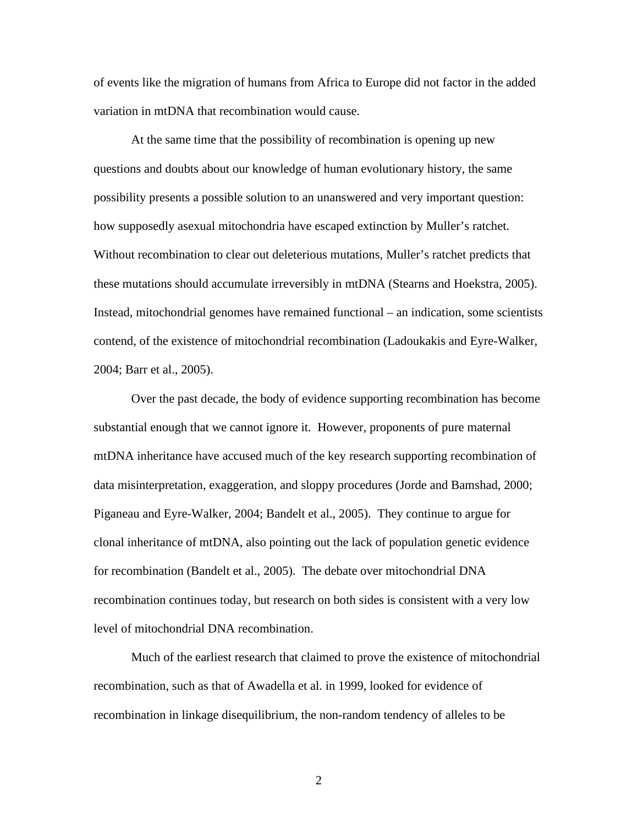of events like the migration of humans from Africa to Europe did not factor in the added variation in mtDNA that recombination would cause.

At the same time that the possibility of recombination is opening up new questions and doubts about our knowledge of human evolutionary history, the same possibility presents a possible solution to an unanswered and very important question: how supposedly asexual mitochondria have escaped extinction by Muller's ratchet. Without recombination to clear out deleterious mutations, Muller's ratchet predicts that these mutations should accumulate irreversibly in mtDNA (Stearns and Hoekstra, 2005). Instead, mitochondrial genomes have remained functional – an indication, some scientists contend, of the existence of mitochondrial recombination (Ladoukakis and Eyre-Walker, 2004; Barr et al., 2005).

Over the past decade, the body of evidence supporting recombination has become substantial enough that we cannot ignore it. However, proponents of pure maternal mtDNA inheritance have accused much of the key research supporting recombination of data misinterpretation, exaggeration, and sloppy procedures (Jorde and Bamshad, 2000; Piganeau and Eyre-Walker, 2004; Bandelt et al., 2005). They continue to argue for clonal inheritance of mtDNA, also pointing out the lack of population genetic evidence for recombination (Bandelt et al., 2005). The debate over mitochondrial DNA recombination continues today, but research on both sides is consistent with a very low level of mitochondrial DNA recombination.

Much of the earliest research that claimed to prove the existence of mitochondrial recombination, such as that of Awadella et al. in 1999, looked for evidence of recombination in linkage disequilibrium, the non-random tendency of alleles to be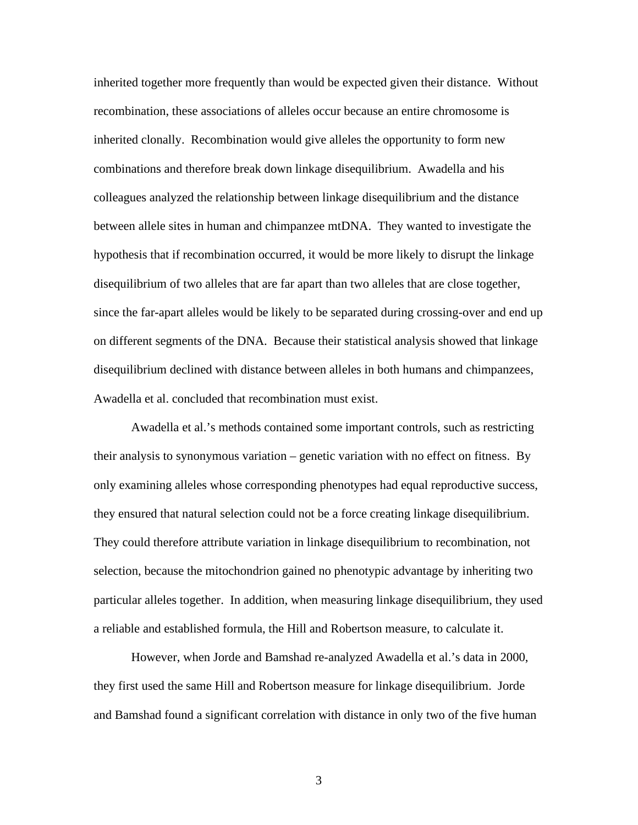inherited together more frequently than would be expected given their distance. Without recombination, these associations of alleles occur because an entire chromosome is inherited clonally. Recombination would give alleles the opportunity to form new combinations and therefore break down linkage disequilibrium. Awadella and his colleagues analyzed the relationship between linkage disequilibrium and the distance between allele sites in human and chimpanzee mtDNA. They wanted to investigate the hypothesis that if recombination occurred, it would be more likely to disrupt the linkage disequilibrium of two alleles that are far apart than two alleles that are close together, since the far-apart alleles would be likely to be separated during crossing-over and end up on different segments of the DNA. Because their statistical analysis showed that linkage disequilibrium declined with distance between alleles in both humans and chimpanzees, Awadella et al. concluded that recombination must exist.

Awadella et al.'s methods contained some important controls, such as restricting their analysis to synonymous variation – genetic variation with no effect on fitness. By only examining alleles whose corresponding phenotypes had equal reproductive success, they ensured that natural selection could not be a force creating linkage disequilibrium. They could therefore attribute variation in linkage disequilibrium to recombination, not selection, because the mitochondrion gained no phenotypic advantage by inheriting two particular alleles together. In addition, when measuring linkage disequilibrium, they used a reliable and established formula, the Hill and Robertson measure, to calculate it.

However, when Jorde and Bamshad re-analyzed Awadella et al.'s data in 2000, they first used the same Hill and Robertson measure for linkage disequilibrium. Jorde and Bamshad found a significant correlation with distance in only two of the five human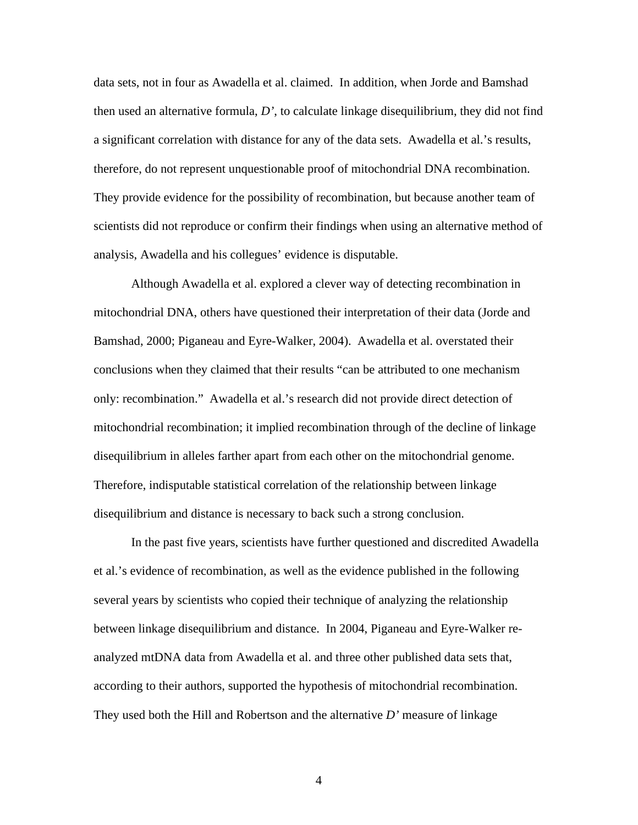data sets, not in four as Awadella et al. claimed. In addition, when Jorde and Bamshad then used an alternative formula, *D'*, to calculate linkage disequilibrium, they did not find a significant correlation with distance for any of the data sets. Awadella et al.'s results, therefore, do not represent unquestionable proof of mitochondrial DNA recombination. They provide evidence for the possibility of recombination, but because another team of scientists did not reproduce or confirm their findings when using an alternative method of analysis, Awadella and his collegues' evidence is disputable.

Although Awadella et al. explored a clever way of detecting recombination in mitochondrial DNA, others have questioned their interpretation of their data (Jorde and Bamshad, 2000; Piganeau and Eyre-Walker, 2004). Awadella et al. overstated their conclusions when they claimed that their results "can be attributed to one mechanism only: recombination." Awadella et al.'s research did not provide direct detection of mitochondrial recombination; it implied recombination through of the decline of linkage disequilibrium in alleles farther apart from each other on the mitochondrial genome. Therefore, indisputable statistical correlation of the relationship between linkage disequilibrium and distance is necessary to back such a strong conclusion.

In the past five years, scientists have further questioned and discredited Awadella et al.'s evidence of recombination, as well as the evidence published in the following several years by scientists who copied their technique of analyzing the relationship between linkage disequilibrium and distance. In 2004, Piganeau and Eyre-Walker reanalyzed mtDNA data from Awadella et al. and three other published data sets that, according to their authors, supported the hypothesis of mitochondrial recombination. They used both the Hill and Robertson and the alternative *D'* measure of linkage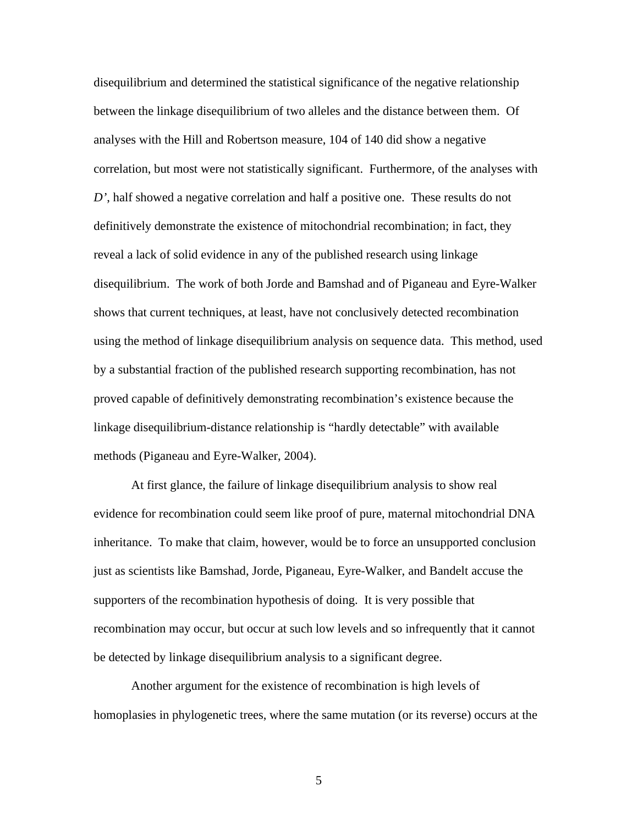disequilibrium and determined the statistical significance of the negative relationship between the linkage disequilibrium of two alleles and the distance between them. Of analyses with the Hill and Robertson measure, 104 of 140 did show a negative correlation, but most were not statistically significant. Furthermore, of the analyses with *D'*, half showed a negative correlation and half a positive one. These results do not definitively demonstrate the existence of mitochondrial recombination; in fact, they reveal a lack of solid evidence in any of the published research using linkage disequilibrium. The work of both Jorde and Bamshad and of Piganeau and Eyre-Walker shows that current techniques, at least, have not conclusively detected recombination using the method of linkage disequilibrium analysis on sequence data. This method, used by a substantial fraction of the published research supporting recombination, has not proved capable of definitively demonstrating recombination's existence because the linkage disequilibrium-distance relationship is "hardly detectable" with available methods (Piganeau and Eyre-Walker, 2004).

At first glance, the failure of linkage disequilibrium analysis to show real evidence for recombination could seem like proof of pure, maternal mitochondrial DNA inheritance. To make that claim, however, would be to force an unsupported conclusion just as scientists like Bamshad, Jorde, Piganeau, Eyre-Walker, and Bandelt accuse the supporters of the recombination hypothesis of doing. It is very possible that recombination may occur, but occur at such low levels and so infrequently that it cannot be detected by linkage disequilibrium analysis to a significant degree.

Another argument for the existence of recombination is high levels of homoplasies in phylogenetic trees, where the same mutation (or its reverse) occurs at the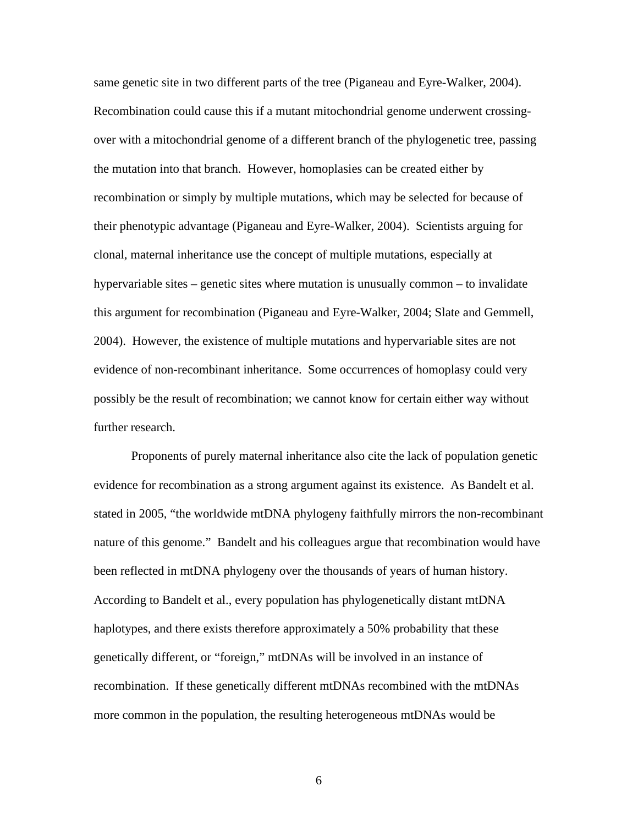same genetic site in two different parts of the tree (Piganeau and Eyre-Walker, 2004). Recombination could cause this if a mutant mitochondrial genome underwent crossingover with a mitochondrial genome of a different branch of the phylogenetic tree, passing the mutation into that branch. However, homoplasies can be created either by recombination or simply by multiple mutations, which may be selected for because of their phenotypic advantage (Piganeau and Eyre-Walker, 2004). Scientists arguing for clonal, maternal inheritance use the concept of multiple mutations, especially at hypervariable sites – genetic sites where mutation is unusually common – to invalidate this argument for recombination (Piganeau and Eyre-Walker, 2004; Slate and Gemmell, 2004). However, the existence of multiple mutations and hypervariable sites are not evidence of non-recombinant inheritance. Some occurrences of homoplasy could very possibly be the result of recombination; we cannot know for certain either way without further research.

Proponents of purely maternal inheritance also cite the lack of population genetic evidence for recombination as a strong argument against its existence. As Bandelt et al. stated in 2005, "the worldwide mtDNA phylogeny faithfully mirrors the non-recombinant nature of this genome." Bandelt and his colleagues argue that recombination would have been reflected in mtDNA phylogeny over the thousands of years of human history. According to Bandelt et al., every population has phylogenetically distant mtDNA haplotypes, and there exists therefore approximately a 50% probability that these genetically different, or "foreign," mtDNAs will be involved in an instance of recombination. If these genetically different mtDNAs recombined with the mtDNAs more common in the population, the resulting heterogeneous mtDNAs would be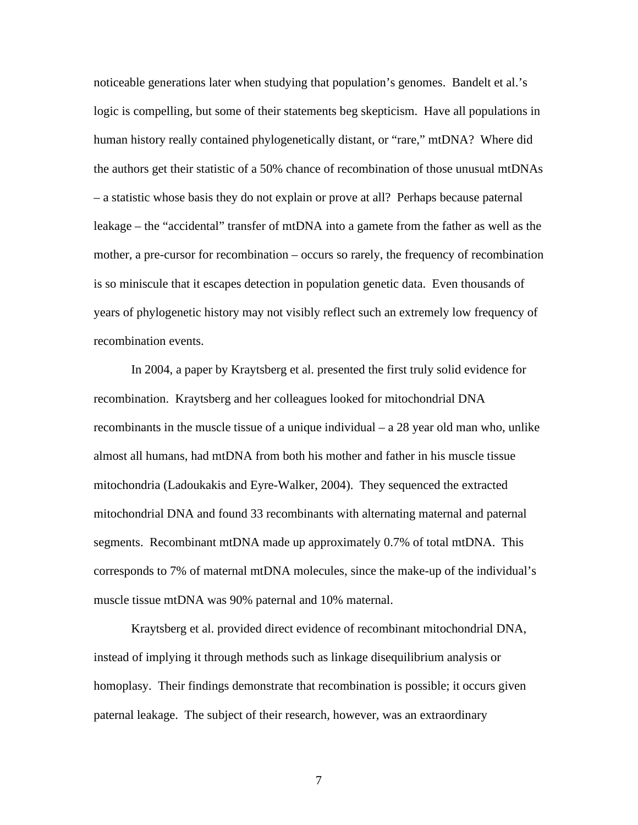noticeable generations later when studying that population's genomes. Bandelt et al.'s logic is compelling, but some of their statements beg skepticism. Have all populations in human history really contained phylogenetically distant, or "rare," mtDNA? Where did the authors get their statistic of a 50% chance of recombination of those unusual mtDNAs – a statistic whose basis they do not explain or prove at all? Perhaps because paternal leakage – the "accidental" transfer of mtDNA into a gamete from the father as well as the mother, a pre-cursor for recombination – occurs so rarely, the frequency of recombination is so miniscule that it escapes detection in population genetic data. Even thousands of years of phylogenetic history may not visibly reflect such an extremely low frequency of recombination events.

In 2004, a paper by Kraytsberg et al. presented the first truly solid evidence for recombination. Kraytsberg and her colleagues looked for mitochondrial DNA recombinants in the muscle tissue of a unique individual  $-$  a 28 year old man who, unlike almost all humans, had mtDNA from both his mother and father in his muscle tissue mitochondria (Ladoukakis and Eyre-Walker, 2004). They sequenced the extracted mitochondrial DNA and found 33 recombinants with alternating maternal and paternal segments. Recombinant mtDNA made up approximately 0.7% of total mtDNA. This corresponds to 7% of maternal mtDNA molecules, since the make-up of the individual's muscle tissue mtDNA was 90% paternal and 10% maternal.

Kraytsberg et al. provided direct evidence of recombinant mitochondrial DNA, instead of implying it through methods such as linkage disequilibrium analysis or homoplasy. Their findings demonstrate that recombination is possible; it occurs given paternal leakage. The subject of their research, however, was an extraordinary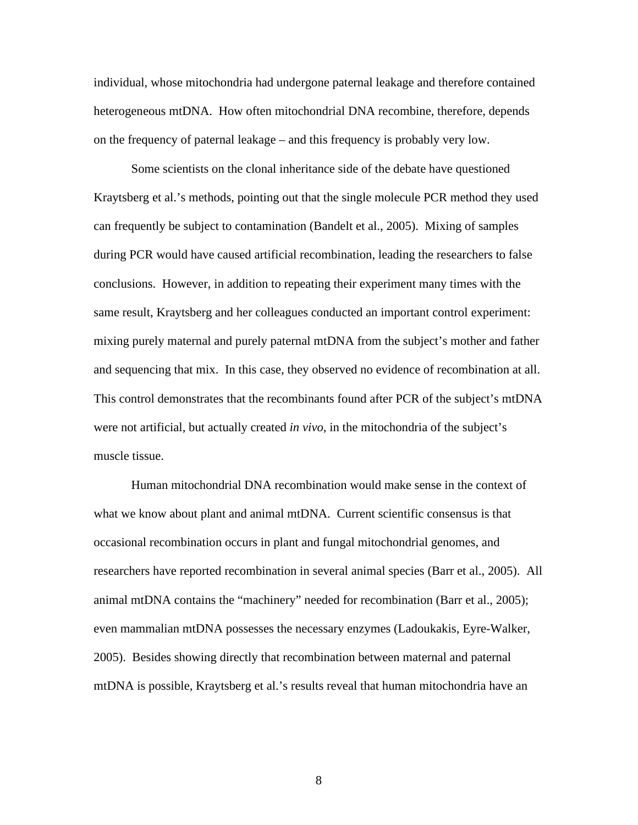individual, whose mitochondria had undergone paternal leakage and therefore contained heterogeneous mtDNA. How often mitochondrial DNA recombine, therefore, depends on the frequency of paternal leakage – and this frequency is probably very low.

Some scientists on the clonal inheritance side of the debate have questioned Kraytsberg et al.'s methods, pointing out that the single molecule PCR method they used can frequently be subject to contamination (Bandelt et al., 2005). Mixing of samples during PCR would have caused artificial recombination, leading the researchers to false conclusions. However, in addition to repeating their experiment many times with the same result, Kraytsberg and her colleagues conducted an important control experiment: mixing purely maternal and purely paternal mtDNA from the subject's mother and father and sequencing that mix. In this case, they observed no evidence of recombination at all. This control demonstrates that the recombinants found after PCR of the subject's mtDNA were not artificial, but actually created *in vivo*, in the mitochondria of the subject's muscle tissue.

Human mitochondrial DNA recombination would make sense in the context of what we know about plant and animal mtDNA. Current scientific consensus is that occasional recombination occurs in plant and fungal mitochondrial genomes, and researchers have reported recombination in several animal species (Barr et al., 2005). All animal mtDNA contains the "machinery" needed for recombination (Barr et al., 2005); even mammalian mtDNA possesses the necessary enzymes (Ladoukakis, Eyre-Walker, 2005). Besides showing directly that recombination between maternal and paternal mtDNA is possible, Kraytsberg et al.'s results reveal that human mitochondria have an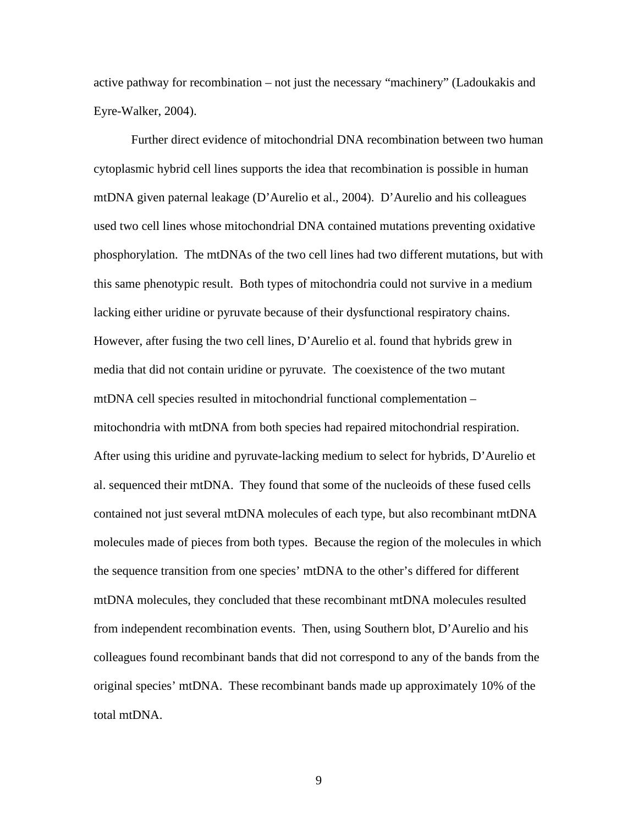active pathway for recombination – not just the necessary "machinery" (Ladoukakis and Eyre-Walker, 2004).

Further direct evidence of mitochondrial DNA recombination between two human cytoplasmic hybrid cell lines supports the idea that recombination is possible in human mtDNA given paternal leakage (D'Aurelio et al., 2004). D'Aurelio and his colleagues used two cell lines whose mitochondrial DNA contained mutations preventing oxidative phosphorylation. The mtDNAs of the two cell lines had two different mutations, but with this same phenotypic result. Both types of mitochondria could not survive in a medium lacking either uridine or pyruvate because of their dysfunctional respiratory chains. However, after fusing the two cell lines, D'Aurelio et al. found that hybrids grew in media that did not contain uridine or pyruvate. The coexistence of the two mutant mtDNA cell species resulted in mitochondrial functional complementation – mitochondria with mtDNA from both species had repaired mitochondrial respiration. After using this uridine and pyruvate-lacking medium to select for hybrids, D'Aurelio et al. sequenced their mtDNA. They found that some of the nucleoids of these fused cells contained not just several mtDNA molecules of each type, but also recombinant mtDNA molecules made of pieces from both types. Because the region of the molecules in which the sequence transition from one species' mtDNA to the other's differed for different mtDNA molecules, they concluded that these recombinant mtDNA molecules resulted from independent recombination events. Then, using Southern blot, D'Aurelio and his colleagues found recombinant bands that did not correspond to any of the bands from the original species' mtDNA. These recombinant bands made up approximately 10% of the total mtDNA.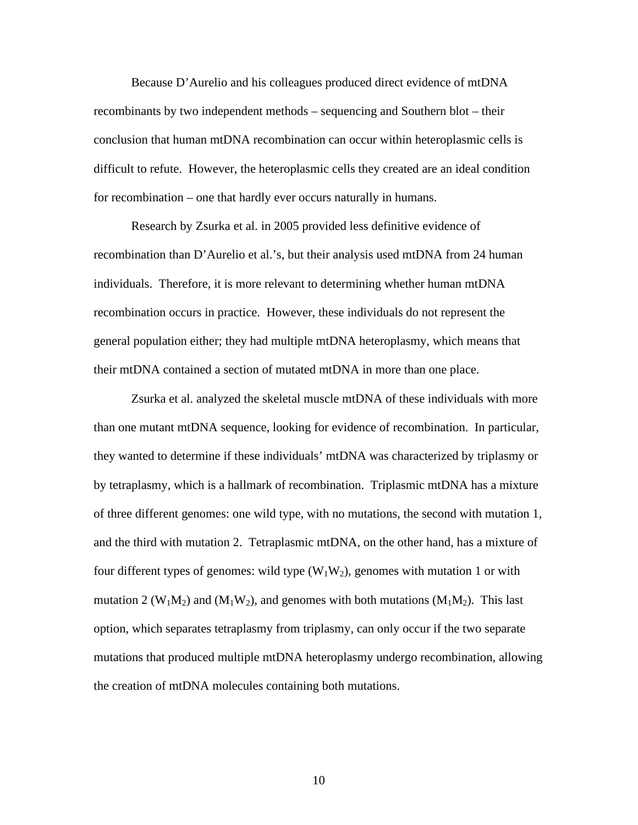Because D'Aurelio and his colleagues produced direct evidence of mtDNA recombinants by two independent methods – sequencing and Southern blot – their conclusion that human mtDNA recombination can occur within heteroplasmic cells is difficult to refute. However, the heteroplasmic cells they created are an ideal condition for recombination – one that hardly ever occurs naturally in humans.

Research by Zsurka et al. in 2005 provided less definitive evidence of recombination than D'Aurelio et al.'s, but their analysis used mtDNA from 24 human individuals. Therefore, it is more relevant to determining whether human mtDNA recombination occurs in practice. However, these individuals do not represent the general population either; they had multiple mtDNA heteroplasmy, which means that their mtDNA contained a section of mutated mtDNA in more than one place.

Zsurka et al. analyzed the skeletal muscle mtDNA of these individuals with more than one mutant mtDNA sequence, looking for evidence of recombination. In particular, they wanted to determine if these individuals' mtDNA was characterized by triplasmy or by tetraplasmy, which is a hallmark of recombination. Triplasmic mtDNA has a mixture of three different genomes: one wild type, with no mutations, the second with mutation 1, and the third with mutation 2. Tetraplasmic mtDNA, on the other hand, has a mixture of four different types of genomes: wild type  $(W_1W_2)$ , genomes with mutation 1 or with mutation 2 ( $W_1M_2$ ) and ( $M_1W_2$ ), and genomes with both mutations ( $M_1M_2$ ). This last option, which separates tetraplasmy from triplasmy, can only occur if the two separate mutations that produced multiple mtDNA heteroplasmy undergo recombination, allowing the creation of mtDNA molecules containing both mutations.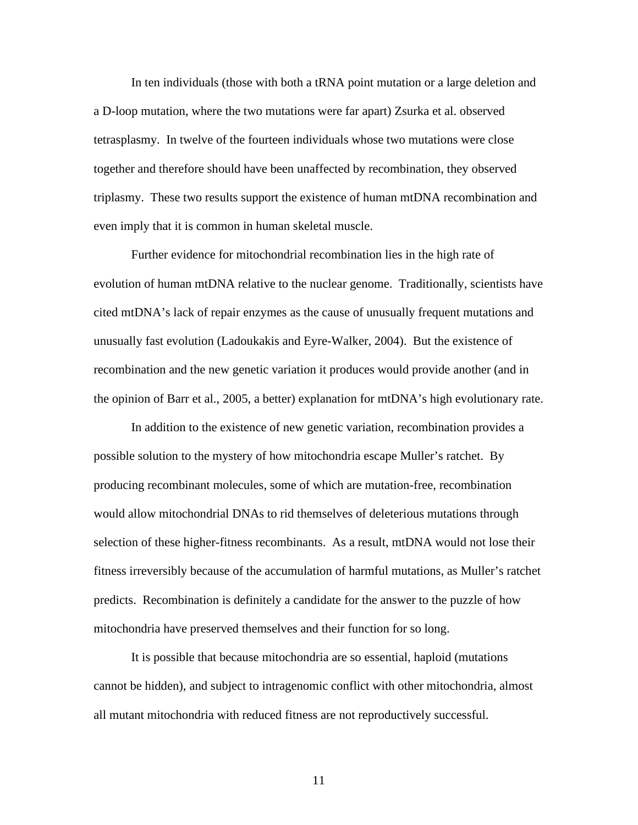In ten individuals (those with both a tRNA point mutation or a large deletion and a D-loop mutation, where the two mutations were far apart) Zsurka et al. observed tetrasplasmy. In twelve of the fourteen individuals whose two mutations were close together and therefore should have been unaffected by recombination, they observed triplasmy. These two results support the existence of human mtDNA recombination and even imply that it is common in human skeletal muscle.

Further evidence for mitochondrial recombination lies in the high rate of evolution of human mtDNA relative to the nuclear genome. Traditionally, scientists have cited mtDNA's lack of repair enzymes as the cause of unusually frequent mutations and unusually fast evolution (Ladoukakis and Eyre-Walker, 2004). But the existence of recombination and the new genetic variation it produces would provide another (and in the opinion of Barr et al., 2005, a better) explanation for mtDNA's high evolutionary rate.

In addition to the existence of new genetic variation, recombination provides a possible solution to the mystery of how mitochondria escape Muller's ratchet. By producing recombinant molecules, some of which are mutation-free, recombination would allow mitochondrial DNAs to rid themselves of deleterious mutations through selection of these higher-fitness recombinants. As a result, mtDNA would not lose their fitness irreversibly because of the accumulation of harmful mutations, as Muller's ratchet predicts. Recombination is definitely a candidate for the answer to the puzzle of how mitochondria have preserved themselves and their function for so long.

It is possible that because mitochondria are so essential, haploid (mutations cannot be hidden), and subject to intragenomic conflict with other mitochondria, almost all mutant mitochondria with reduced fitness are not reproductively successful.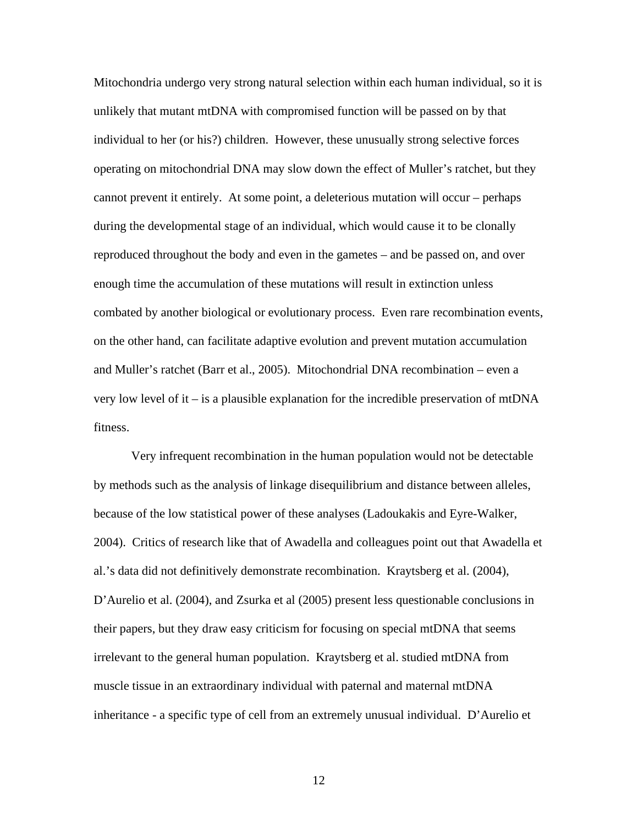Mitochondria undergo very strong natural selection within each human individual, so it is unlikely that mutant mtDNA with compromised function will be passed on by that individual to her (or his?) children. However, these unusually strong selective forces operating on mitochondrial DNA may slow down the effect of Muller's ratchet, but they cannot prevent it entirely. At some point, a deleterious mutation will occur – perhaps during the developmental stage of an individual, which would cause it to be clonally reproduced throughout the body and even in the gametes – and be passed on, and over enough time the accumulation of these mutations will result in extinction unless combated by another biological or evolutionary process. Even rare recombination events, on the other hand, can facilitate adaptive evolution and prevent mutation accumulation and Muller's ratchet (Barr et al., 2005). Mitochondrial DNA recombination – even a very low level of it – is a plausible explanation for the incredible preservation of mtDNA fitness.

Very infrequent recombination in the human population would not be detectable by methods such as the analysis of linkage disequilibrium and distance between alleles, because of the low statistical power of these analyses (Ladoukakis and Eyre-Walker, 2004). Critics of research like that of Awadella and colleagues point out that Awadella et al.'s data did not definitively demonstrate recombination. Kraytsberg et al. (2004), D'Aurelio et al. (2004), and Zsurka et al (2005) present less questionable conclusions in their papers, but they draw easy criticism for focusing on special mtDNA that seems irrelevant to the general human population. Kraytsberg et al. studied mtDNA from muscle tissue in an extraordinary individual with paternal and maternal mtDNA inheritance - a specific type of cell from an extremely unusual individual. D'Aurelio et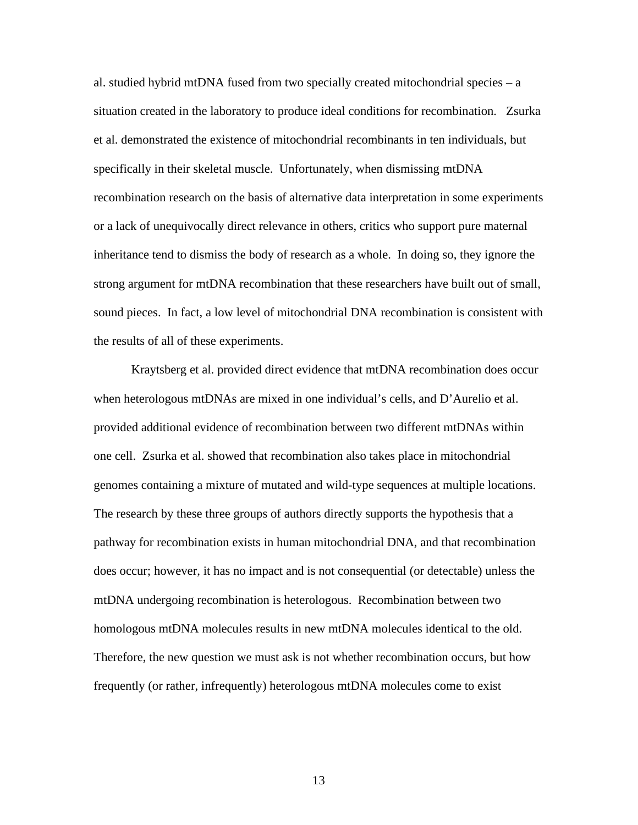al. studied hybrid mtDNA fused from two specially created mitochondrial species – a situation created in the laboratory to produce ideal conditions for recombination. Zsurka et al. demonstrated the existence of mitochondrial recombinants in ten individuals, but specifically in their skeletal muscle. Unfortunately, when dismissing mtDNA recombination research on the basis of alternative data interpretation in some experiments or a lack of unequivocally direct relevance in others, critics who support pure maternal inheritance tend to dismiss the body of research as a whole. In doing so, they ignore the strong argument for mtDNA recombination that these researchers have built out of small, sound pieces. In fact, a low level of mitochondrial DNA recombination is consistent with the results of all of these experiments.

Kraytsberg et al. provided direct evidence that mtDNA recombination does occur when heterologous mtDNAs are mixed in one individual's cells, and D'Aurelio et al. provided additional evidence of recombination between two different mtDNAs within one cell. Zsurka et al. showed that recombination also takes place in mitochondrial genomes containing a mixture of mutated and wild-type sequences at multiple locations. The research by these three groups of authors directly supports the hypothesis that a pathway for recombination exists in human mitochondrial DNA, and that recombination does occur; however, it has no impact and is not consequential (or detectable) unless the mtDNA undergoing recombination is heterologous. Recombination between two homologous mtDNA molecules results in new mtDNA molecules identical to the old. Therefore, the new question we must ask is not whether recombination occurs, but how frequently (or rather, infrequently) heterologous mtDNA molecules come to exist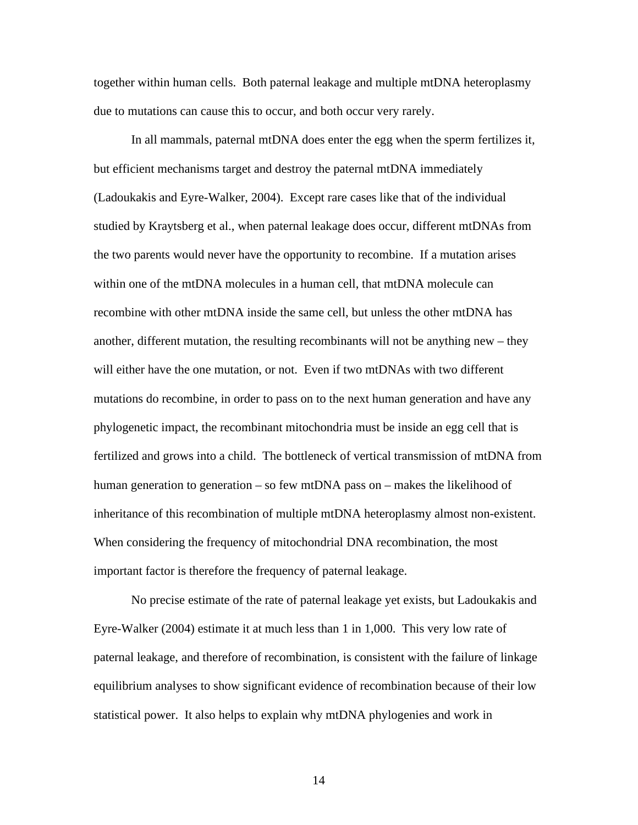together within human cells. Both paternal leakage and multiple mtDNA heteroplasmy due to mutations can cause this to occur, and both occur very rarely.

In all mammals, paternal mtDNA does enter the egg when the sperm fertilizes it, but efficient mechanisms target and destroy the paternal mtDNA immediately (Ladoukakis and Eyre-Walker, 2004). Except rare cases like that of the individual studied by Kraytsberg et al., when paternal leakage does occur, different mtDNAs from the two parents would never have the opportunity to recombine. If a mutation arises within one of the mtDNA molecules in a human cell, that mtDNA molecule can recombine with other mtDNA inside the same cell, but unless the other mtDNA has another, different mutation, the resulting recombinants will not be anything new – they will either have the one mutation, or not. Even if two mtDNAs with two different mutations do recombine, in order to pass on to the next human generation and have any phylogenetic impact, the recombinant mitochondria must be inside an egg cell that is fertilized and grows into a child. The bottleneck of vertical transmission of mtDNA from human generation to generation – so few mtDNA pass on – makes the likelihood of inheritance of this recombination of multiple mtDNA heteroplasmy almost non-existent. When considering the frequency of mitochondrial DNA recombination, the most important factor is therefore the frequency of paternal leakage.

No precise estimate of the rate of paternal leakage yet exists, but Ladoukakis and Eyre-Walker (2004) estimate it at much less than 1 in 1,000. This very low rate of paternal leakage, and therefore of recombination, is consistent with the failure of linkage equilibrium analyses to show significant evidence of recombination because of their low statistical power. It also helps to explain why mtDNA phylogenies and work in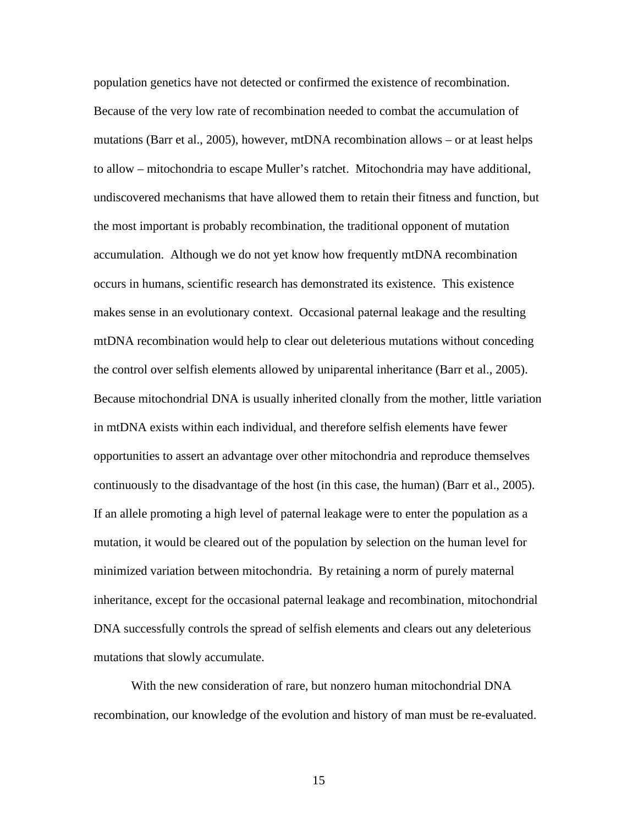population genetics have not detected or confirmed the existence of recombination. Because of the very low rate of recombination needed to combat the accumulation of mutations (Barr et al., 2005), however, mtDNA recombination allows – or at least helps to allow – mitochondria to escape Muller's ratchet. Mitochondria may have additional, undiscovered mechanisms that have allowed them to retain their fitness and function, but the most important is probably recombination, the traditional opponent of mutation accumulation. Although we do not yet know how frequently mtDNA recombination occurs in humans, scientific research has demonstrated its existence. This existence makes sense in an evolutionary context. Occasional paternal leakage and the resulting mtDNA recombination would help to clear out deleterious mutations without conceding the control over selfish elements allowed by uniparental inheritance (Barr et al., 2005). Because mitochondrial DNA is usually inherited clonally from the mother, little variation in mtDNA exists within each individual, and therefore selfish elements have fewer opportunities to assert an advantage over other mitochondria and reproduce themselves continuously to the disadvantage of the host (in this case, the human) (Barr et al., 2005). If an allele promoting a high level of paternal leakage were to enter the population as a mutation, it would be cleared out of the population by selection on the human level for minimized variation between mitochondria. By retaining a norm of purely maternal inheritance, except for the occasional paternal leakage and recombination, mitochondrial DNA successfully controls the spread of selfish elements and clears out any deleterious mutations that slowly accumulate.

With the new consideration of rare, but nonzero human mitochondrial DNA recombination, our knowledge of the evolution and history of man must be re-evaluated.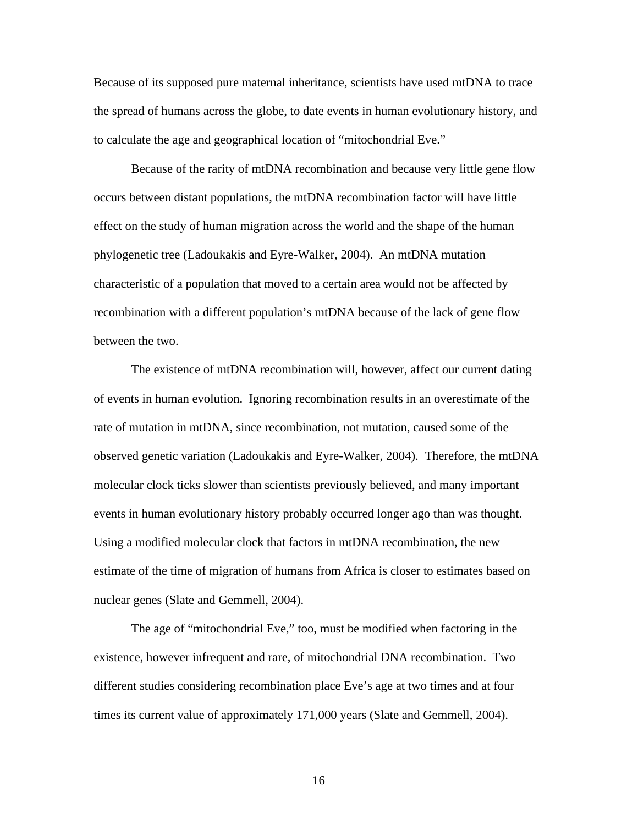Because of its supposed pure maternal inheritance, scientists have used mtDNA to trace the spread of humans across the globe, to date events in human evolutionary history, and to calculate the age and geographical location of "mitochondrial Eve."

Because of the rarity of mtDNA recombination and because very little gene flow occurs between distant populations, the mtDNA recombination factor will have little effect on the study of human migration across the world and the shape of the human phylogenetic tree (Ladoukakis and Eyre-Walker, 2004). An mtDNA mutation characteristic of a population that moved to a certain area would not be affected by recombination with a different population's mtDNA because of the lack of gene flow between the two.

The existence of mtDNA recombination will, however, affect our current dating of events in human evolution. Ignoring recombination results in an overestimate of the rate of mutation in mtDNA, since recombination, not mutation, caused some of the observed genetic variation (Ladoukakis and Eyre-Walker, 2004). Therefore, the mtDNA molecular clock ticks slower than scientists previously believed, and many important events in human evolutionary history probably occurred longer ago than was thought. Using a modified molecular clock that factors in mtDNA recombination, the new estimate of the time of migration of humans from Africa is closer to estimates based on nuclear genes (Slate and Gemmell, 2004).

The age of "mitochondrial Eve," too, must be modified when factoring in the existence, however infrequent and rare, of mitochondrial DNA recombination. Two different studies considering recombination place Eve's age at two times and at four times its current value of approximately 171,000 years (Slate and Gemmell, 2004).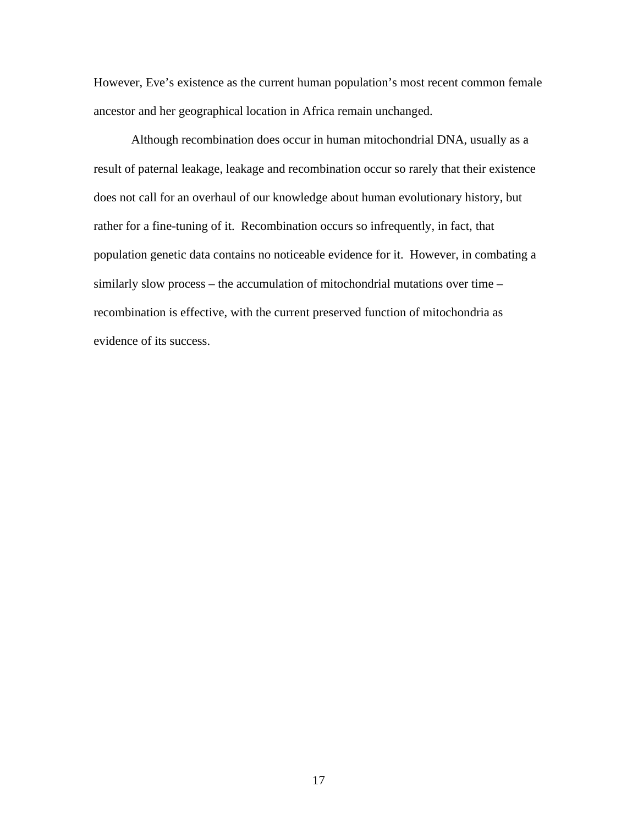However, Eve's existence as the current human population's most recent common female ancestor and her geographical location in Africa remain unchanged.

Although recombination does occur in human mitochondrial DNA, usually as a result of paternal leakage, leakage and recombination occur so rarely that their existence does not call for an overhaul of our knowledge about human evolutionary history, but rather for a fine-tuning of it. Recombination occurs so infrequently, in fact, that population genetic data contains no noticeable evidence for it. However, in combating a similarly slow process – the accumulation of mitochondrial mutations over time – recombination is effective, with the current preserved function of mitochondria as evidence of its success.